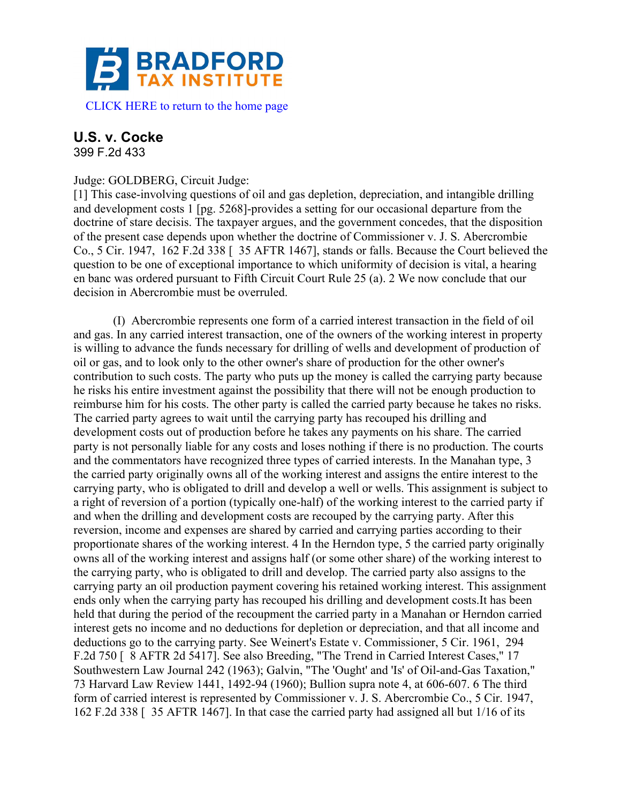

## **U.S. v. Cocke**

399 F.2d 433

## Judge: GOLDBERG, Circuit Judge:

[1] This case-involving questions of oil and gas depletion, depreciation, and intangible drilling and development costs 1 [pg. 5268]-provides a setting for our occasional departure from the doctrine of stare decisis. The taxpayer argues, and the government concedes, that the disposition of the present case depends upon whether the doctrine of Commissioner v. J. S. Abercrombie Co., 5 Cir. 1947, 162 F.2d 338 [ 35 AFTR 1467], stands or falls. Because the Court believed the question to be one of exceptional importance to which uniformity of decision is vital, a hearing en banc was ordered pursuant to Fifth Circuit Court Rule 25 (a). 2 We now conclude that our decision in Abercrombie must be overruled.

(I) Abercrombie represents one form of a carried interest transaction in the field of oil and gas. In any carried interest transaction, one of the owners of the working interest in property is willing to advance the funds necessary for drilling of wells and development of production of oil or gas, and to look only to the other owner's share of production for the other owner's contribution to such costs. The party who puts up the money is called the carrying party because he risks his entire investment against the possibility that there will not be enough production to reimburse him for his costs. The other party is called the carried party because he takes no risks. The carried party agrees to wait until the carrying party has recouped his drilling and development costs out of production before he takes any payments on his share. The carried party is not personally liable for any costs and loses nothing if there is no production. The courts and the commentators have recognized three types of carried interests. In the Manahan type, 3 the carried party originally owns all of the working interest and assigns the entire interest to the carrying party, who is obligated to drill and develop a well or wells. This assignment is subject to a right of reversion of a portion (typically one-half) of the working interest to the carried party if and when the drilling and development costs are recouped by the carrying party. After this reversion, income and expenses are shared by carried and carrying parties according to their proportionate shares of the working interest. 4 In the Herndon type, 5 the carried party originally owns all of the working interest and assigns half (or some other share) of the working interest to the carrying party, who is obligated to drill and develop. The carried party also assigns to the carrying party an oil production payment covering his retained working interest. This assignment ends only when the carrying party has recouped his drilling and development costs.It has been held that during the period of the recoupment the carried party in a Manahan or Herndon carried interest gets no income and no deductions for depletion or depreciation, and that all income and deductions go to the carrying party. See Weinert's Estate v. Commissioner, 5 Cir. 1961, 294 F.2d 750 [ 8 AFTR 2d 5417]. See also Breeding, "The Trend in Carried Interest Cases," 17 Southwestern Law Journal 242 (1963); Galvin, "The 'Ought' and 'Is' of Oil-and-Gas Taxation," 73 Harvard Law Review 1441, 1492-94 (1960); Bullion supra note 4, at 606-607. 6 The third form of carried interest is represented by Commissioner v. J. S. Abercrombie Co., 5 Cir. 1947, 162 F.2d 338 [ 35 AFTR 1467]. In that case the carried party had assigned all but 1/16 of its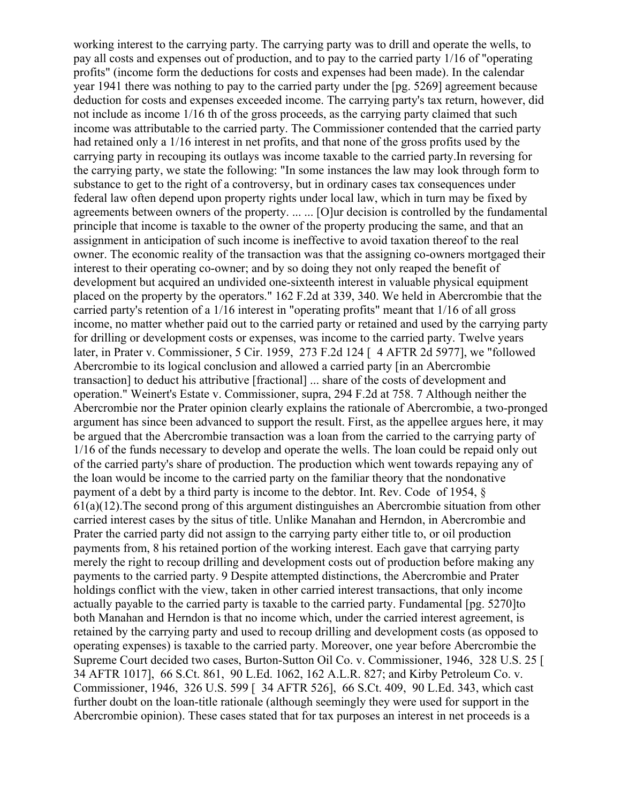working interest to the carrying party. The carrying party was to drill and operate the wells, to pay all costs and expenses out of production, and to pay to the carried party 1/16 of "operating profits" (income form the deductions for costs and expenses had been made). In the calendar year 1941 there was nothing to pay to the carried party under the [pg. 5269] agreement because deduction for costs and expenses exceeded income. The carrying party's tax return, however, did not include as income 1/16 th of the gross proceeds, as the carrying party claimed that such income was attributable to the carried party. The Commissioner contended that the carried party had retained only a 1/16 interest in net profits, and that none of the gross profits used by the carrying party in recouping its outlays was income taxable to the carried party.In reversing for the carrying party, we state the following: "In some instances the law may look through form to substance to get to the right of a controversy, but in ordinary cases tax consequences under federal law often depend upon property rights under local law, which in turn may be fixed by agreements between owners of the property. ... ... [O]ur decision is controlled by the fundamental principle that income is taxable to the owner of the property producing the same, and that an assignment in anticipation of such income is ineffective to avoid taxation thereof to the real owner. The economic reality of the transaction was that the assigning co-owners mortgaged their interest to their operating co-owner; and by so doing they not only reaped the benefit of development but acquired an undivided one-sixteenth interest in valuable physical equipment placed on the property by the operators." 162 F.2d at 339, 340. We held in Abercrombie that the carried party's retention of a 1/16 interest in "operating profits" meant that 1/16 of all gross income, no matter whether paid out to the carried party or retained and used by the carrying party for drilling or development costs or expenses, was income to the carried party. Twelve years later, in Prater v. Commissioner, 5 Cir. 1959, 273 F.2d 124 [ 4 AFTR 2d 5977], we "followed Abercrombie to its logical conclusion and allowed a carried party [in an Abercrombie transaction] to deduct his attributive [fractional] ... share of the costs of development and operation." Weinert's Estate v. Commissioner, supra, 294 F.2d at 758. 7 Although neither the Abercrombie nor the Prater opinion clearly explains the rationale of Abercrombie, a two-pronged argument has since been advanced to support the result. First, as the appellee argues here, it may be argued that the Abercrombie transaction was a loan from the carried to the carrying party of 1/16 of the funds necessary to develop and operate the wells. The loan could be repaid only out of the carried party's share of production. The production which went towards repaying any of the loan would be income to the carried party on the familiar theory that the nondonative payment of a debt by a third party is income to the debtor. Int. Rev. Code of 1954, §  $61(a)(12)$ . The second prong of this argument distinguishes an Abercrombie situation from other carried interest cases by the situs of title. Unlike Manahan and Herndon, in Abercrombie and Prater the carried party did not assign to the carrying party either title to, or oil production payments from, 8 his retained portion of the working interest. Each gave that carrying party merely the right to recoup drilling and development costs out of production before making any payments to the carried party. 9 Despite attempted distinctions, the Abercrombie and Prater holdings conflict with the view, taken in other carried interest transactions, that only income actually payable to the carried party is taxable to the carried party. Fundamental [pg. 5270]to both Manahan and Herndon is that no income which, under the carried interest agreement, is retained by the carrying party and used to recoup drilling and development costs (as opposed to operating expenses) is taxable to the carried party. Moreover, one year before Abercrombie the Supreme Court decided two cases, Burton-Sutton Oil Co. v. Commissioner, 1946, 328 U.S. 25 [ 34 AFTR 1017], 66 S.Ct. 861, 90 L.Ed. 1062, 162 A.L.R. 827; and Kirby Petroleum Co. v. Commissioner, 1946, 326 U.S. 599 [ 34 AFTR 526], 66 S.Ct. 409, 90 L.Ed. 343, which cast further doubt on the loan-title rationale (although seemingly they were used for support in the Abercrombie opinion). These cases stated that for tax purposes an interest in net proceeds is a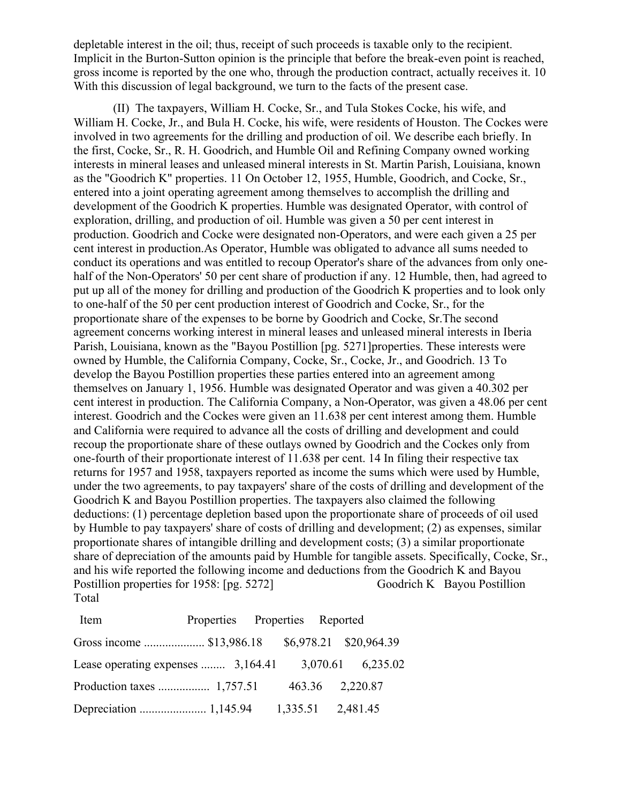depletable interest in the oil; thus, receipt of such proceeds is taxable only to the recipient. Implicit in the Burton-Sutton opinion is the principle that before the break-even point is reached, gross income is reported by the one who, through the production contract, actually receives it. 10 With this discussion of legal background, we turn to the facts of the present case.

(II) The taxpayers, William H. Cocke, Sr., and Tula Stokes Cocke, his wife, and William H. Cocke, Jr., and Bula H. Cocke, his wife, were residents of Houston. The Cockes were involved in two agreements for the drilling and production of oil. We describe each briefly. In the first, Cocke, Sr., R. H. Goodrich, and Humble Oil and Refining Company owned working interests in mineral leases and unleased mineral interests in St. Martin Parish, Louisiana, known as the "Goodrich K" properties. 11 On October 12, 1955, Humble, Goodrich, and Cocke, Sr., entered into a joint operating agreement among themselves to accomplish the drilling and development of the Goodrich K properties. Humble was designated Operator, with control of exploration, drilling, and production of oil. Humble was given a 50 per cent interest in production. Goodrich and Cocke were designated non-Operators, and were each given a 25 per cent interest in production.As Operator, Humble was obligated to advance all sums needed to conduct its operations and was entitled to recoup Operator's share of the advances from only onehalf of the Non-Operators' 50 per cent share of production if any. 12 Humble, then, had agreed to put up all of the money for drilling and production of the Goodrich K properties and to look only to one-half of the 50 per cent production interest of Goodrich and Cocke, Sr., for the proportionate share of the expenses to be borne by Goodrich and Cocke, Sr.The second agreement concerns working interest in mineral leases and unleased mineral interests in Iberia Parish, Louisiana, known as the "Bayou Postillion [pg. 5271]properties. These interests were owned by Humble, the California Company, Cocke, Sr., Cocke, Jr., and Goodrich. 13 To develop the Bayou Postillion properties these parties entered into an agreement among themselves on January 1, 1956. Humble was designated Operator and was given a 40.302 per cent interest in production. The California Company, a Non-Operator, was given a 48.06 per cent interest. Goodrich and the Cockes were given an 11.638 per cent interest among them. Humble and California were required to advance all the costs of drilling and development and could recoup the proportionate share of these outlays owned by Goodrich and the Cockes only from one-fourth of their proportionate interest of 11.638 per cent. 14 In filing their respective tax returns for 1957 and 1958, taxpayers reported as income the sums which were used by Humble, under the two agreements, to pay taxpayers' share of the costs of drilling and development of the Goodrich K and Bayou Postillion properties. The taxpayers also claimed the following deductions: (1) percentage depletion based upon the proportionate share of proceeds of oil used by Humble to pay taxpayers' share of costs of drilling and development; (2) as expenses, similar proportionate shares of intangible drilling and development costs; (3) a similar proportionate share of depreciation of the amounts paid by Humble for tangible assets. Specifically, Cocke, Sr., and his wife reported the following income and deductions from the Goodrich K and Bayou Postillion properties for 1958: [pg. 5272] Goodrich K Bayou Postillion Total

| Item                                                 | Properties Properties Reported |  |  |
|------------------------------------------------------|--------------------------------|--|--|
| Gross income  \$13,986.18 \$6,978.21 \$20,964.39     |                                |  |  |
| Lease operating expenses  3,164.41 3,070.61 6,235.02 |                                |  |  |
|                                                      |                                |  |  |
|                                                      |                                |  |  |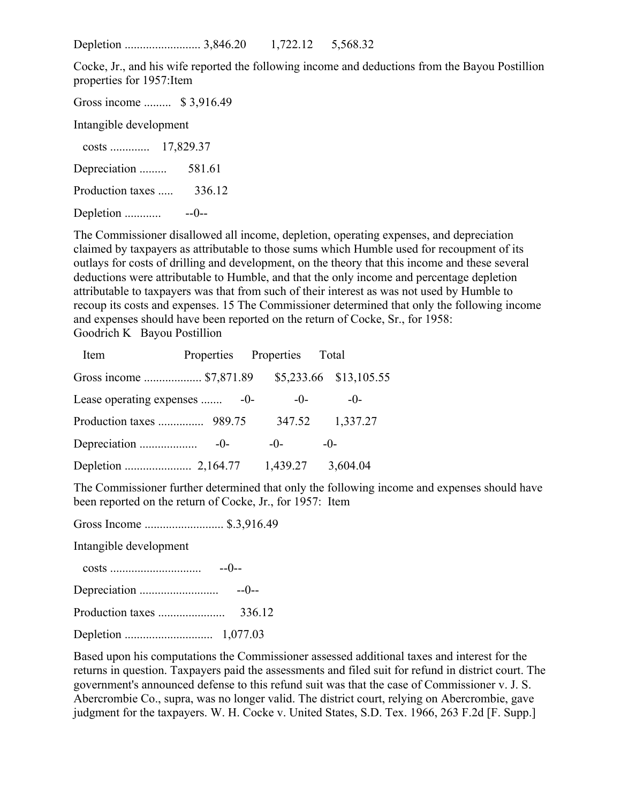Depletion ......................... 3,846.20 1,722.12 5,568.32

Cocke, Jr., and his wife reported the following income and deductions from the Bayou Postillion properties for 1957:Item

Gross income ......... \$ 3,916.49 Intangible development costs ............. 17,829.37 Depreciation ......... 581.61 Production taxes ..... 336.12 Depletion ............ --0--

The Commissioner disallowed all income, depletion, operating expenses, and depreciation claimed by taxpayers as attributable to those sums which Humble used for recoupment of its outlays for costs of drilling and development, on the theory that this income and these several deductions were attributable to Humble, and that the only income and percentage depletion attributable to taxpayers was that from such of their interest as was not used by Humble to recoup its costs and expenses. 15 The Commissioner determined that only the following income and expenses should have been reported on the return of Cocke, Sr., for 1958: Goodrich K Bayou Postillion

| Item                          |  | Properties Properties Total |                        |  |
|-------------------------------|--|-----------------------------|------------------------|--|
| Gross income  \$7,871.89      |  |                             | \$5,233.66 \$13,105.55 |  |
| Lease operating expenses  -0- |  | $-0-$                       | $-0-$                  |  |
|                               |  | 347.52                      | 1,337.27               |  |
|                               |  | $-()$                       | $-()$ -                |  |
|                               |  | 1,439.27                    | 3,604.04               |  |

The Commissioner further determined that only the following income and expenses should have been reported on the return of Cocke, Jr., for 1957: Item

Gross Income .......................... \$.3,916.49

Intangible development

| $-0-$   |
|---------|
| $-(-1)$ |
| 336.12  |
|         |

Based upon his computations the Commissioner assessed additional taxes and interest for the returns in question. Taxpayers paid the assessments and filed suit for refund in district court. The government's announced defense to this refund suit was that the case of Commissioner v. J. S. Abercrombie Co., supra, was no longer valid. The district court, relying on Abercrombie, gave judgment for the taxpayers. W. H. Cocke v. United States, S.D. Tex. 1966, 263 F.2d [F. Supp.]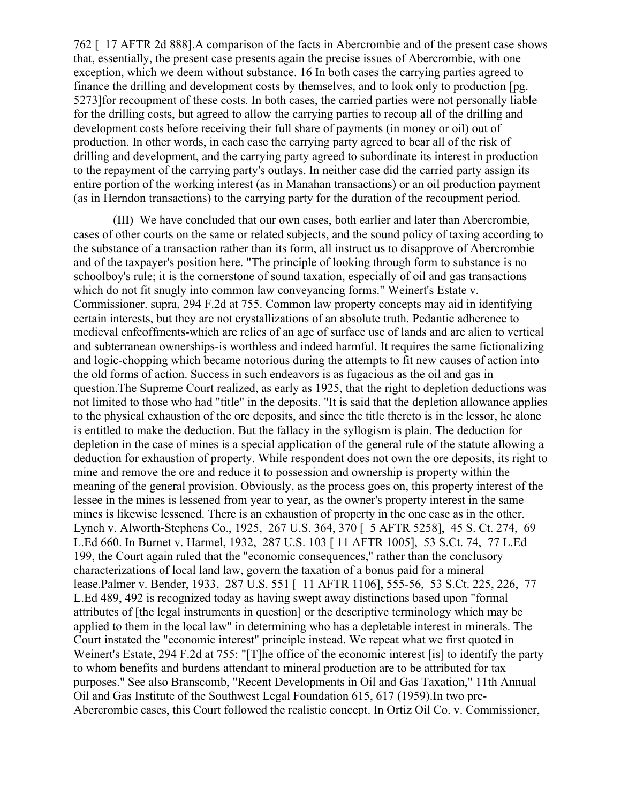762 [ 17 AFTR 2d 888].A comparison of the facts in Abercrombie and of the present case shows that, essentially, the present case presents again the precise issues of Abercrombie, with one exception, which we deem without substance. 16 In both cases the carrying parties agreed to finance the drilling and development costs by themselves, and to look only to production [pg. 5273]for recoupment of these costs. In both cases, the carried parties were not personally liable for the drilling costs, but agreed to allow the carrying parties to recoup all of the drilling and development costs before receiving their full share of payments (in money or oil) out of production. In other words, in each case the carrying party agreed to bear all of the risk of drilling and development, and the carrying party agreed to subordinate its interest in production to the repayment of the carrying party's outlays. In neither case did the carried party assign its entire portion of the working interest (as in Manahan transactions) or an oil production payment (as in Herndon transactions) to the carrying party for the duration of the recoupment period.

(III) We have concluded that our own cases, both earlier and later than Abercrombie, cases of other courts on the same or related subjects, and the sound policy of taxing according to the substance of a transaction rather than its form, all instruct us to disapprove of Abercrombie and of the taxpayer's position here. "The principle of looking through form to substance is no schoolboy's rule; it is the cornerstone of sound taxation, especially of oil and gas transactions which do not fit snugly into common law conveyancing forms." Weinert's Estate v. Commissioner. supra, 294 F.2d at 755. Common law property concepts may aid in identifying certain interests, but they are not crystallizations of an absolute truth. Pedantic adherence to medieval enfeoffments-which are relics of an age of surface use of lands and are alien to vertical and subterranean ownerships-is worthless and indeed harmful. It requires the same fictionalizing and logic-chopping which became notorious during the attempts to fit new causes of action into the old forms of action. Success in such endeavors is as fugacious as the oil and gas in question.The Supreme Court realized, as early as 1925, that the right to depletion deductions was not limited to those who had "title" in the deposits. "It is said that the depletion allowance applies to the physical exhaustion of the ore deposits, and since the title thereto is in the lessor, he alone is entitled to make the deduction. But the fallacy in the syllogism is plain. The deduction for depletion in the case of mines is a special application of the general rule of the statute allowing a deduction for exhaustion of property. While respondent does not own the ore deposits, its right to mine and remove the ore and reduce it to possession and ownership is property within the meaning of the general provision. Obviously, as the process goes on, this property interest of the lessee in the mines is lessened from year to year, as the owner's property interest in the same mines is likewise lessened. There is an exhaustion of property in the one case as in the other. Lynch v. Alworth-Stephens Co., 1925, 267 U.S. 364, 370 [ 5 AFTR 5258], 45 S. Ct. 274, 69 L.Ed 660. In Burnet v. Harmel, 1932, 287 U.S. 103 [ 11 AFTR 1005], 53 S.Ct. 74, 77 L.Ed 199, the Court again ruled that the "economic consequences," rather than the conclusory characterizations of local land law, govern the taxation of a bonus paid for a mineral lease.Palmer v. Bender, 1933, 287 U.S. 551 [ 11 AFTR 1106], 555-56, 53 S.Ct. 225, 226, 77 L.Ed 489, 492 is recognized today as having swept away distinctions based upon "formal attributes of [the legal instruments in question] or the descriptive terminology which may be applied to them in the local law" in determining who has a depletable interest in minerals. The Court instated the "economic interest" principle instead. We repeat what we first quoted in Weinert's Estate, 294 F.2d at 755: "[T]he office of the economic interest [is] to identify the party to whom benefits and burdens attendant to mineral production are to be attributed for tax purposes." See also Branscomb, "Recent Developments in Oil and Gas Taxation," 11th Annual Oil and Gas Institute of the Southwest Legal Foundation 615, 617 (1959).In two pre-Abercrombie cases, this Court followed the realistic concept. In Ortiz Oil Co. v. Commissioner,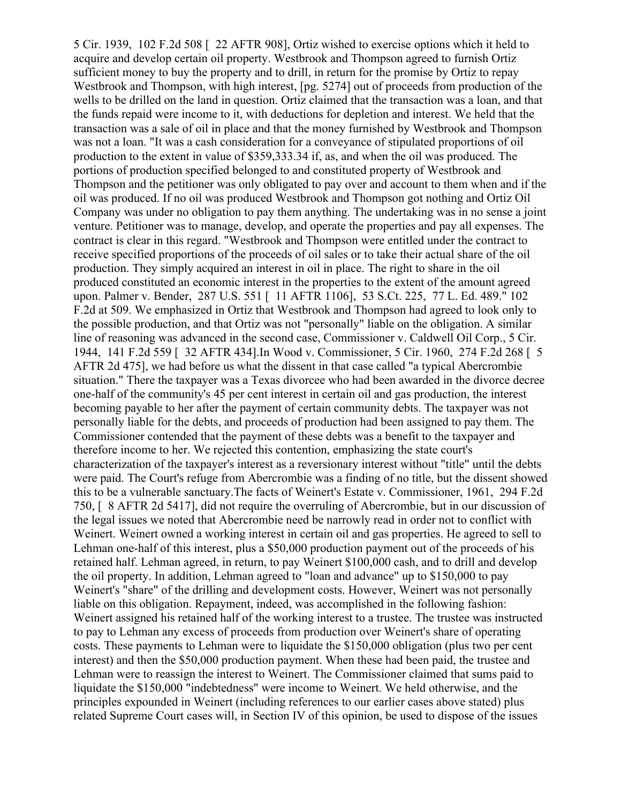5 Cir. 1939, 102 F.2d 508 [ 22 AFTR 908], Ortiz wished to exercise options which it held to acquire and develop certain oil property. Westbrook and Thompson agreed to furnish Ortiz sufficient money to buy the property and to drill, in return for the promise by Ortiz to repay Westbrook and Thompson, with high interest, [pg. 5274] out of proceeds from production of the wells to be drilled on the land in question. Ortiz claimed that the transaction was a loan, and that the funds repaid were income to it, with deductions for depletion and interest. We held that the transaction was a sale of oil in place and that the money furnished by Westbrook and Thompson was not a loan. "It was a cash consideration for a conveyance of stipulated proportions of oil production to the extent in value of \$359,333.34 if, as, and when the oil was produced. The portions of production specified belonged to and constituted property of Westbrook and Thompson and the petitioner was only obligated to pay over and account to them when and if the oil was produced. If no oil was produced Westbrook and Thompson got nothing and Ortiz Oil Company was under no obligation to pay them anything. The undertaking was in no sense a joint venture. Petitioner was to manage, develop, and operate the properties and pay all expenses. The contract is clear in this regard. "Westbrook and Thompson were entitled under the contract to receive specified proportions of the proceeds of oil sales or to take their actual share of the oil production. They simply acquired an interest in oil in place. The right to share in the oil produced constituted an economic interest in the properties to the extent of the amount agreed upon. Palmer v. Bender, 287 U.S. 551 [ 11 AFTR 1106], 53 S.Ct. 225, 77 L. Ed. 489." 102 F.2d at 509. We emphasized in Ortiz that Westbrook and Thompson had agreed to look only to the possible production, and that Ortiz was not "personally" liable on the obligation. A similar line of reasoning was advanced in the second case, Commissioner v. Caldwell Oil Corp., 5 Cir. 1944, 141 F.2d 559 [ 32 AFTR 434].In Wood v. Commissioner, 5 Cir. 1960, 274 F.2d 268 [ 5 AFTR 2d 475], we had before us what the dissent in that case called "a typical Abercrombie situation." There the taxpayer was a Texas divorcee who had been awarded in the divorce decree one-half of the community's 45 per cent interest in certain oil and gas production, the interest becoming payable to her after the payment of certain community debts. The taxpayer was not personally liable for the debts, and proceeds of production had been assigned to pay them. The Commissioner contended that the payment of these debts was a benefit to the taxpayer and therefore income to her. We rejected this contention, emphasizing the state court's characterization of the taxpayer's interest as a reversionary interest without "title" until the debts were paid. The Court's refuge from Abercrombie was a finding of no title, but the dissent showed this to be a vulnerable sanctuary.The facts of Weinert's Estate v. Commissioner, 1961, 294 F.2d 750, [ 8 AFTR 2d 5417], did not require the overruling of Abercrombie, but in our discussion of the legal issues we noted that Abercrombie need be narrowly read in order not to conflict with Weinert. Weinert owned a working interest in certain oil and gas properties. He agreed to sell to Lehman one-half of this interest, plus a \$50,000 production payment out of the proceeds of his retained half. Lehman agreed, in return, to pay Weinert \$100,000 cash, and to drill and develop the oil property. In addition, Lehman agreed to "loan and advance" up to \$150,000 to pay Weinert's "share" of the drilling and development costs. However, Weinert was not personally liable on this obligation. Repayment, indeed, was accomplished in the following fashion: Weinert assigned his retained half of the working interest to a trustee. The trustee was instructed to pay to Lehman any excess of proceeds from production over Weinert's share of operating costs. These payments to Lehman were to liquidate the \$150,000 obligation (plus two per cent interest) and then the \$50,000 production payment. When these had been paid, the trustee and Lehman were to reassign the interest to Weinert. The Commissioner claimed that sums paid to liquidate the \$150,000 "indebtedness" were income to Weinert. We held otherwise, and the principles expounded in Weinert (including references to our earlier cases above stated) plus related Supreme Court cases will, in Section IV of this opinion, be used to dispose of the issues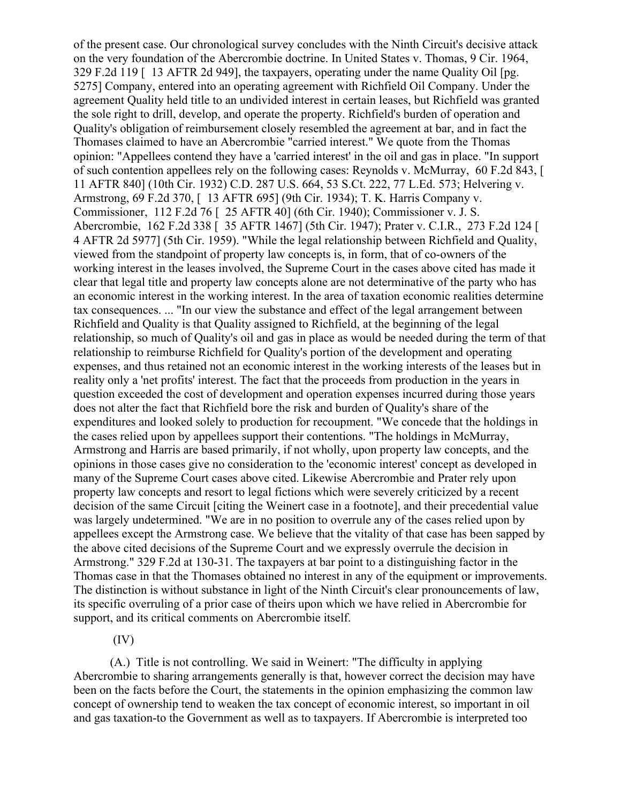of the present case. Our chronological survey concludes with the Ninth Circuit's decisive attack on the very foundation of the Abercrombie doctrine. In United States v. Thomas, 9 Cir. 1964, 329 F.2d 119 [ 13 AFTR 2d 949], the taxpayers, operating under the name Quality Oil [pg. 5275] Company, entered into an operating agreement with Richfield Oil Company. Under the agreement Quality held title to an undivided interest in certain leases, but Richfield was granted the sole right to drill, develop, and operate the property. Richfield's burden of operation and Quality's obligation of reimbursement closely resembled the agreement at bar, and in fact the Thomases claimed to have an Abercrombie "carried interest." We quote from the Thomas opinion: "Appellees contend they have a 'carried interest' in the oil and gas in place. "In support of such contention appellees rely on the following cases: Reynolds v. McMurray, 60 F.2d 843, [ 11 AFTR 840] (10th Cir. 1932) C.D. 287 U.S. 664, 53 S.Ct. 222, 77 L.Ed. 573; Helvering v. Armstrong, 69 F.2d 370, [ 13 AFTR 695] (9th Cir. 1934); T. K. Harris Company v. Commissioner, 112 F.2d 76 [ 25 AFTR 40] (6th Cir. 1940); Commissioner v. J. S. Abercrombie, 162 F.2d 338 [ 35 AFTR 1467] (5th Cir. 1947); Prater v. C.I.R., 273 F.2d 124 [ 4 AFTR 2d 5977] (5th Cir. 1959). "While the legal relationship between Richfield and Quality, viewed from the standpoint of property law concepts is, in form, that of co-owners of the working interest in the leases involved, the Supreme Court in the cases above cited has made it clear that legal title and property law concepts alone are not determinative of the party who has an economic interest in the working interest. In the area of taxation economic realities determine tax consequences. ... "In our view the substance and effect of the legal arrangement between Richfield and Quality is that Quality assigned to Richfield, at the beginning of the legal relationship, so much of Quality's oil and gas in place as would be needed during the term of that relationship to reimburse Richfield for Quality's portion of the development and operating expenses, and thus retained not an economic interest in the working interests of the leases but in reality only a 'net profits' interest. The fact that the proceeds from production in the years in question exceeded the cost of development and operation expenses incurred during those years does not alter the fact that Richfield bore the risk and burden of Quality's share of the expenditures and looked solely to production for recoupment. "We concede that the holdings in the cases relied upon by appellees support their contentions. "The holdings in McMurray, Armstrong and Harris are based primarily, if not wholly, upon property law concepts, and the opinions in those cases give no consideration to the 'economic interest' concept as developed in many of the Supreme Court cases above cited. Likewise Abercrombie and Prater rely upon property law concepts and resort to legal fictions which were severely criticized by a recent decision of the same Circuit [citing the Weinert case in a footnote], and their precedential value was largely undetermined. "We are in no position to overrule any of the cases relied upon by appellees except the Armstrong case. We believe that the vitality of that case has been sapped by the above cited decisions of the Supreme Court and we expressly overrule the decision in Armstrong." 329 F.2d at 130-31. The taxpayers at bar point to a distinguishing factor in the Thomas case in that the Thomases obtained no interest in any of the equipment or improvements. The distinction is without substance in light of the Ninth Circuit's clear pronouncements of law, its specific overruling of a prior case of theirs upon which we have relied in Abercrombie for support, and its critical comments on Abercrombie itself.

(IV)

(A.) Title is not controlling. We said in Weinert: "The difficulty in applying Abercrombie to sharing arrangements generally is that, however correct the decision may have been on the facts before the Court, the statements in the opinion emphasizing the common law concept of ownership tend to weaken the tax concept of economic interest, so important in oil and gas taxation-to the Government as well as to taxpayers. If Abercrombie is interpreted too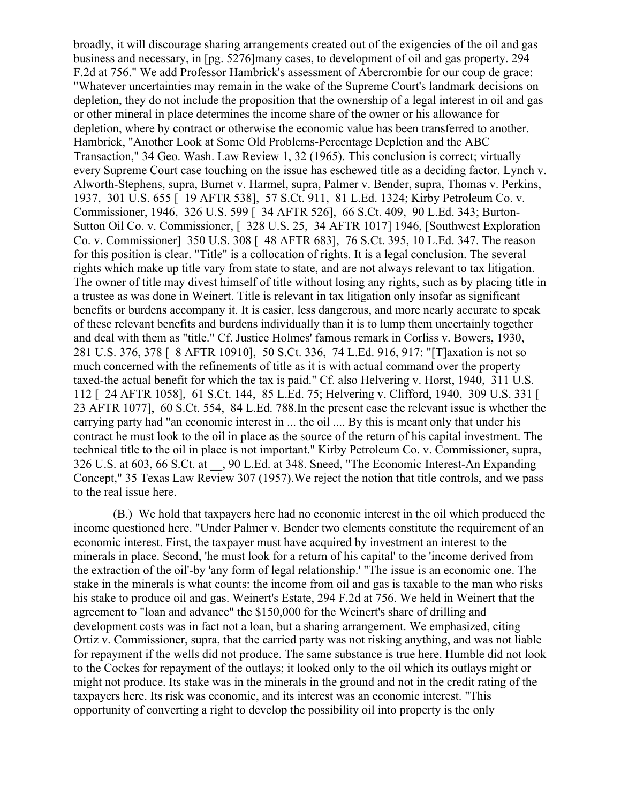broadly, it will discourage sharing arrangements created out of the exigencies of the oil and gas business and necessary, in [pg. 5276]many cases, to development of oil and gas property. 294 F.2d at 756." We add Professor Hambrick's assessment of Abercrombie for our coup de grace: "Whatever uncertainties may remain in the wake of the Supreme Court's landmark decisions on depletion, they do not include the proposition that the ownership of a legal interest in oil and gas or other mineral in place determines the income share of the owner or his allowance for depletion, where by contract or otherwise the economic value has been transferred to another. Hambrick, "Another Look at Some Old Problems-Percentage Depletion and the ABC Transaction," 34 Geo. Wash. Law Review 1, 32 (1965). This conclusion is correct; virtually every Supreme Court case touching on the issue has eschewed title as a deciding factor. Lynch v. Alworth-Stephens, supra, Burnet v. Harmel, supra, Palmer v. Bender, supra, Thomas v. Perkins, 1937, 301 U.S. 655 [ 19 AFTR 538], 57 S.Ct. 911, 81 L.Ed. 1324; Kirby Petroleum Co. v. Commissioner, 1946, 326 U.S. 599 [ 34 AFTR 526], 66 S.Ct. 409, 90 L.Ed. 343; Burton-Sutton Oil Co. v. Commissioner, [ 328 U.S. 25, 34 AFTR 1017] 1946, [Southwest Exploration Co. v. Commissioner] 350 U.S. 308 [ 48 AFTR 683], 76 S.Ct. 395, 10 L.Ed. 347. The reason for this position is clear. "Title" is a collocation of rights. It is a legal conclusion. The several rights which make up title vary from state to state, and are not always relevant to tax litigation. The owner of title may divest himself of title without losing any rights, such as by placing title in a trustee as was done in Weinert. Title is relevant in tax litigation only insofar as significant benefits or burdens accompany it. It is easier, less dangerous, and more nearly accurate to speak of these relevant benefits and burdens individually than it is to lump them uncertainly together and deal with them as "title." Cf. Justice Holmes' famous remark in Corliss v. Bowers, 1930, 281 U.S. 376, 378 [ 8 AFTR 10910], 50 S.Ct. 336, 74 L.Ed. 916, 917: "[T]axation is not so much concerned with the refinements of title as it is with actual command over the property taxed-the actual benefit for which the tax is paid." Cf. also Helvering v. Horst, 1940, 311 U.S. 112 [ 24 AFTR 1058], 61 S.Ct. 144, 85 L.Ed. 75; Helvering v. Clifford, 1940, 309 U.S. 331 [ 23 AFTR 1077], 60 S.Ct. 554, 84 L.Ed. 788.In the present case the relevant issue is whether the carrying party had "an economic interest in ... the oil .... By this is meant only that under his contract he must look to the oil in place as the source of the return of his capital investment. The technical title to the oil in place is not important." Kirby Petroleum Co. v. Commissioner, supra, 326 U.S. at 603, 66 S.Ct. at \_\_, 90 L.Ed. at 348. Sneed, "The Economic Interest-An Expanding Concept," 35 Texas Law Review 307 (1957).We reject the notion that title controls, and we pass to the real issue here.

(B.) We hold that taxpayers here had no economic interest in the oil which produced the income questioned here. "Under Palmer v. Bender two elements constitute the requirement of an economic interest. First, the taxpayer must have acquired by investment an interest to the minerals in place. Second, 'he must look for a return of his capital' to the 'income derived from the extraction of the oil'-by 'any form of legal relationship.' "The issue is an economic one. The stake in the minerals is what counts: the income from oil and gas is taxable to the man who risks his stake to produce oil and gas. Weinert's Estate, 294 F.2d at 756. We held in Weinert that the agreement to "loan and advance" the \$150,000 for the Weinert's share of drilling and development costs was in fact not a loan, but a sharing arrangement. We emphasized, citing Ortiz v. Commissioner, supra, that the carried party was not risking anything, and was not liable for repayment if the wells did not produce. The same substance is true here. Humble did not look to the Cockes for repayment of the outlays; it looked only to the oil which its outlays might or might not produce. Its stake was in the minerals in the ground and not in the credit rating of the taxpayers here. Its risk was economic, and its interest was an economic interest. "This opportunity of converting a right to develop the possibility oil into property is the only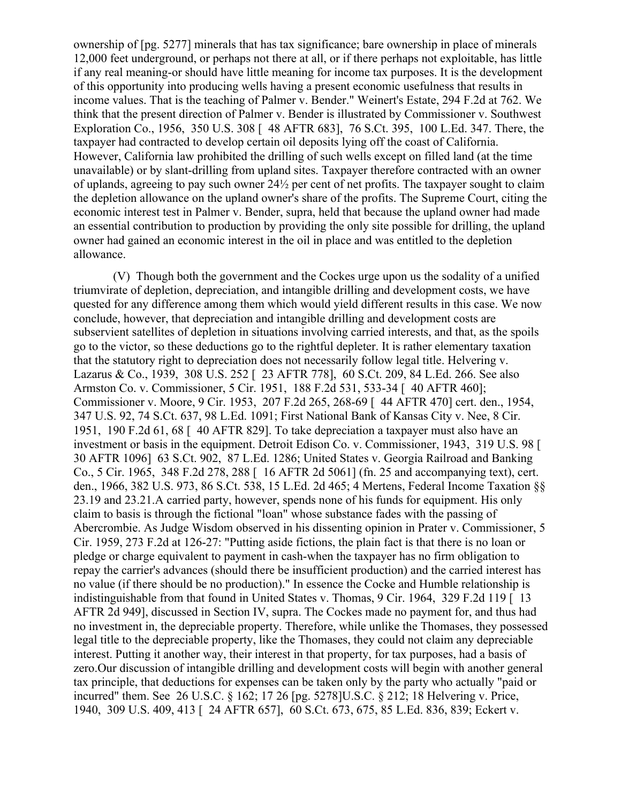ownership of [pg. 5277] minerals that has tax significance; bare ownership in place of minerals 12,000 feet underground, or perhaps not there at all, or if there perhaps not exploitable, has little if any real meaning-or should have little meaning for income tax purposes. It is the development of this opportunity into producing wells having a present economic usefulness that results in income values. That is the teaching of Palmer v. Bender." Weinert's Estate, 294 F.2d at 762. We think that the present direction of Palmer v. Bender is illustrated by Commissioner v. Southwest Exploration Co., 1956, 350 U.S. 308 [ 48 AFTR 683], 76 S.Ct. 395, 100 L.Ed. 347. There, the taxpayer had contracted to develop certain oil deposits lying off the coast of California. However, California law prohibited the drilling of such wells except on filled land (at the time unavailable) or by slant-drilling from upland sites. Taxpayer therefore contracted with an owner of uplands, agreeing to pay such owner 24½ per cent of net profits. The taxpayer sought to claim the depletion allowance on the upland owner's share of the profits. The Supreme Court, citing the economic interest test in Palmer v. Bender, supra, held that because the upland owner had made an essential contribution to production by providing the only site possible for drilling, the upland owner had gained an economic interest in the oil in place and was entitled to the depletion allowance.

(V) Though both the government and the Cockes urge upon us the sodality of a unified triumvirate of depletion, depreciation, and intangible drilling and development costs, we have quested for any difference among them which would yield different results in this case. We now conclude, however, that depreciation and intangible drilling and development costs are subservient satellites of depletion in situations involving carried interests, and that, as the spoils go to the victor, so these deductions go to the rightful depleter. It is rather elementary taxation that the statutory right to depreciation does not necessarily follow legal title. Helvering v. Lazarus & Co., 1939, 308 U.S. 252 [ 23 AFTR 778], 60 S.Ct. 209, 84 L.Ed. 266. See also Armston Co. v. Commissioner, 5 Cir. 1951, 188 F.2d 531, 533-34 [ 40 AFTR 460]; Commissioner v. Moore, 9 Cir. 1953, 207 F.2d 265, 268-69 [ 44 AFTR 470] cert. den., 1954, 347 U.S. 92, 74 S.Ct. 637, 98 L.Ed. 1091; First National Bank of Kansas City v. Nee, 8 Cir. 1951, 190 F.2d 61, 68 [ 40 AFTR 829]. To take depreciation a taxpayer must also have an investment or basis in the equipment. Detroit Edison Co. v. Commissioner, 1943, 319 U.S. 98 [ 30 AFTR 1096] 63 S.Ct. 902, 87 L.Ed. 1286; United States v. Georgia Railroad and Banking Co., 5 Cir. 1965, 348 F.2d 278, 288 [ 16 AFTR 2d 5061] (fn. 25 and accompanying text), cert. den., 1966, 382 U.S. 973, 86 S.Ct. 538, 15 L.Ed. 2d 465; 4 Mertens, Federal Income Taxation §§ 23.19 and 23.21.A carried party, however, spends none of his funds for equipment. His only claim to basis is through the fictional "loan" whose substance fades with the passing of Abercrombie. As Judge Wisdom observed in his dissenting opinion in Prater v. Commissioner, 5 Cir. 1959, 273 F.2d at 126-27: "Putting aside fictions, the plain fact is that there is no loan or pledge or charge equivalent to payment in cash-when the taxpayer has no firm obligation to repay the carrier's advances (should there be insufficient production) and the carried interest has no value (if there should be no production)." In essence the Cocke and Humble relationship is indistinguishable from that found in United States v. Thomas, 9 Cir. 1964, 329 F.2d 119 [ 13 AFTR 2d 949], discussed in Section IV, supra. The Cockes made no payment for, and thus had no investment in, the depreciable property. Therefore, while unlike the Thomases, they possessed legal title to the depreciable property, like the Thomases, they could not claim any depreciable interest. Putting it another way, their interest in that property, for tax purposes, had a basis of zero.Our discussion of intangible drilling and development costs will begin with another general tax principle, that deductions for expenses can be taken only by the party who actually "paid or incurred" them. See 26 U.S.C. § 162; 17 26 [pg. 5278]U.S.C. § 212; 18 Helvering v. Price, 1940, 309 U.S. 409, 413 [ 24 AFTR 657], 60 S.Ct. 673, 675, 85 L.Ed. 836, 839; Eckert v.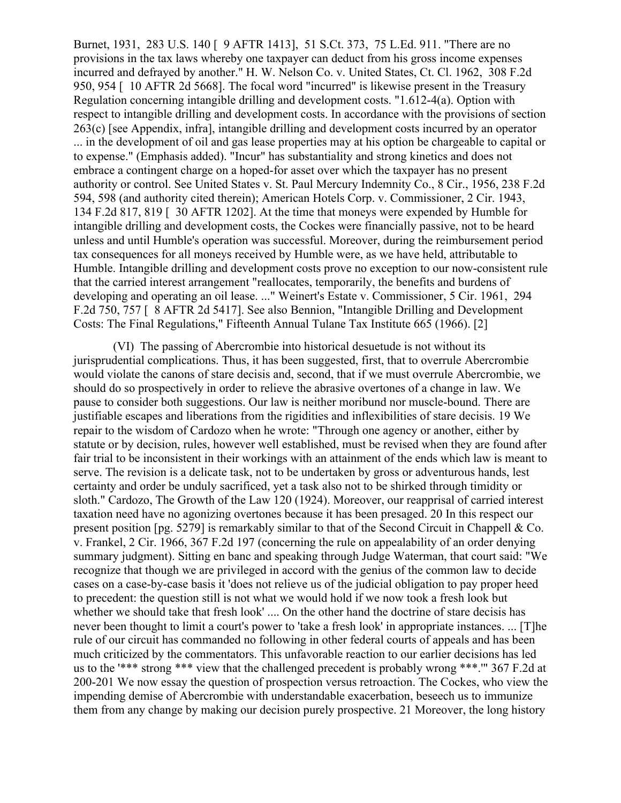Burnet, 1931, 283 U.S. 140 [ 9 AFTR 1413], 51 S.Ct. 373, 75 L.Ed. 911. "There are no provisions in the tax laws whereby one taxpayer can deduct from his gross income expenses incurred and defrayed by another." H. W. Nelson Co. v. United States, Ct. Cl. 1962, 308 F.2d 950, 954 [ 10 AFTR 2d 5668]. The focal word "incurred" is likewise present in the Treasury Regulation concerning intangible drilling and development costs. "1.612-4(a). Option with respect to intangible drilling and development costs. In accordance with the provisions of section 263(c) [see Appendix, infra], intangible drilling and development costs incurred by an operator ... in the development of oil and gas lease properties may at his option be chargeable to capital or to expense." (Emphasis added). "Incur" has substantiality and strong kinetics and does not embrace a contingent charge on a hoped-for asset over which the taxpayer has no present authority or control. See United States v. St. Paul Mercury Indemnity Co., 8 Cir., 1956, 238 F.2d 594, 598 (and authority cited therein); American Hotels Corp. v. Commissioner, 2 Cir. 1943, 134 F.2d 817, 819 [ 30 AFTR 1202]. At the time that moneys were expended by Humble for intangible drilling and development costs, the Cockes were financially passive, not to be heard unless and until Humble's operation was successful. Moreover, during the reimbursement period tax consequences for all moneys received by Humble were, as we have held, attributable to Humble. Intangible drilling and development costs prove no exception to our now-consistent rule that the carried interest arrangement "reallocates, temporarily, the benefits and burdens of developing and operating an oil lease. ..." Weinert's Estate v. Commissioner, 5 Cir. 1961, 294 F.2d 750, 757 [ 8 AFTR 2d 5417]. See also Bennion, "Intangible Drilling and Development Costs: The Final Regulations," Fifteenth Annual Tulane Tax Institute 665 (1966). [2]

(VI) The passing of Abercrombie into historical desuetude is not without its jurisprudential complications. Thus, it has been suggested, first, that to overrule Abercrombie would violate the canons of stare decisis and, second, that if we must overrule Abercrombie, we should do so prospectively in order to relieve the abrasive overtones of a change in law. We pause to consider both suggestions. Our law is neither moribund nor muscle-bound. There are justifiable escapes and liberations from the rigidities and inflexibilities of stare decisis. 19 We repair to the wisdom of Cardozo when he wrote: "Through one agency or another, either by statute or by decision, rules, however well established, must be revised when they are found after fair trial to be inconsistent in their workings with an attainment of the ends which law is meant to serve. The revision is a delicate task, not to be undertaken by gross or adventurous hands, lest certainty and order be unduly sacrificed, yet a task also not to be shirked through timidity or sloth." Cardozo, The Growth of the Law 120 (1924). Moreover, our reapprisal of carried interest taxation need have no agonizing overtones because it has been presaged. 20 In this respect our present position [pg. 5279] is remarkably similar to that of the Second Circuit in Chappell & Co. v. Frankel, 2 Cir. 1966, 367 F.2d 197 (concerning the rule on appealability of an order denying summary judgment). Sitting en banc and speaking through Judge Waterman, that court said: "We recognize that though we are privileged in accord with the genius of the common law to decide cases on a case-by-case basis it 'does not relieve us of the judicial obligation to pay proper heed to precedent: the question still is not what we would hold if we now took a fresh look but whether we should take that fresh look' .... On the other hand the doctrine of stare decisis has never been thought to limit a court's power to 'take a fresh look' in appropriate instances. ... [T]he rule of our circuit has commanded no following in other federal courts of appeals and has been much criticized by the commentators. This unfavorable reaction to our earlier decisions has led us to the '\*\*\* strong \*\*\* view that the challenged precedent is probably wrong \*\*\*.'" 367 F.2d at 200-201 We now essay the question of prospection versus retroaction. The Cockes, who view the impending demise of Abercrombie with understandable exacerbation, beseech us to immunize them from any change by making our decision purely prospective. 21 Moreover, the long history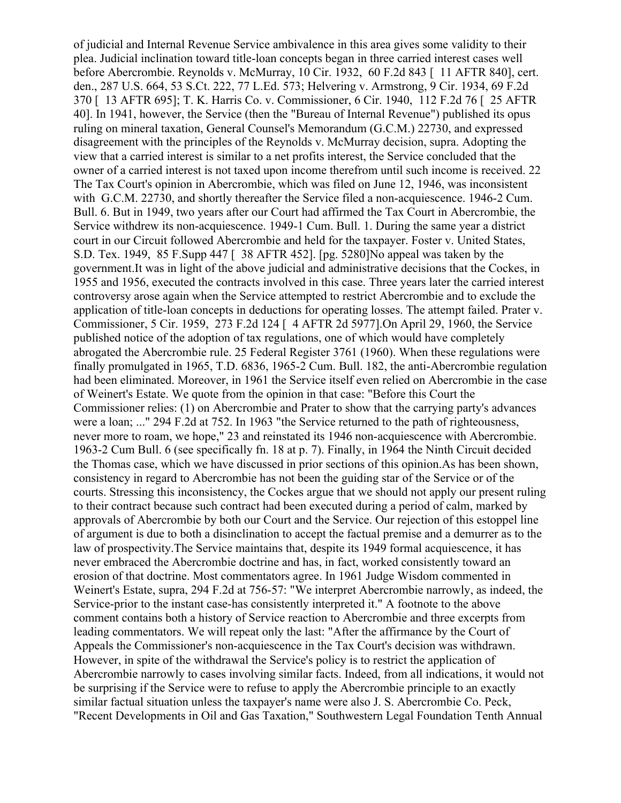of judicial and Internal Revenue Service ambivalence in this area gives some validity to their plea. Judicial inclination toward title-loan concepts began in three carried interest cases well before Abercrombie. Reynolds v. McMurray, 10 Cir. 1932, 60 F.2d 843 [ 11 AFTR 840], cert. den., 287 U.S. 664, 53 S.Ct. 222, 77 L.Ed. 573; Helvering v. Armstrong, 9 Cir. 1934, 69 F.2d 370 [ 13 AFTR 695]; T. K. Harris Co. v. Commissioner, 6 Cir. 1940, 112 F.2d 76 [ 25 AFTR 40]. In 1941, however, the Service (then the "Bureau of Internal Revenue") published its opus ruling on mineral taxation, General Counsel's Memorandum (G.C.M.) 22730, and expressed disagreement with the principles of the Reynolds v. McMurray decision, supra. Adopting the view that a carried interest is similar to a net profits interest, the Service concluded that the owner of a carried interest is not taxed upon income therefrom until such income is received. 22 The Tax Court's opinion in Abercrombie, which was filed on June 12, 1946, was inconsistent with G.C.M. 22730, and shortly thereafter the Service filed a non-acquiescence. 1946-2 Cum. Bull. 6. But in 1949, two years after our Court had affirmed the Tax Court in Abercrombie, the Service withdrew its non-acquiescence. 1949-1 Cum. Bull. 1. During the same year a district court in our Circuit followed Abercrombie and held for the taxpayer. Foster v. United States, S.D. Tex. 1949, 85 F.Supp 447 [ 38 AFTR 452]. [pg. 5280]No appeal was taken by the government.It was in light of the above judicial and administrative decisions that the Cockes, in 1955 and 1956, executed the contracts involved in this case. Three years later the carried interest controversy arose again when the Service attempted to restrict Abercrombie and to exclude the application of title-loan concepts in deductions for operating losses. The attempt failed. Prater v. Commissioner, 5 Cir. 1959, 273 F.2d 124 [ 4 AFTR 2d 5977].On April 29, 1960, the Service published notice of the adoption of tax regulations, one of which would have completely abrogated the Abercrombie rule. 25 Federal Register 3761 (1960). When these regulations were finally promulgated in 1965, T.D. 6836, 1965-2 Cum. Bull. 182, the anti-Abercrombie regulation had been eliminated. Moreover, in 1961 the Service itself even relied on Abercrombie in the case of Weinert's Estate. We quote from the opinion in that case: "Before this Court the Commissioner relies: (1) on Abercrombie and Prater to show that the carrying party's advances were a loan; ..." 294 F.2d at 752. In 1963 "the Service returned to the path of righteousness, never more to roam, we hope," 23 and reinstated its 1946 non-acquiescence with Abercrombie. 1963-2 Cum Bull. 6 (see specifically fn. 18 at p. 7). Finally, in 1964 the Ninth Circuit decided the Thomas case, which we have discussed in prior sections of this opinion.As has been shown, consistency in regard to Abercrombie has not been the guiding star of the Service or of the courts. Stressing this inconsistency, the Cockes argue that we should not apply our present ruling to their contract because such contract had been executed during a period of calm, marked by approvals of Abercrombie by both our Court and the Service. Our rejection of this estoppel line of argument is due to both a disinclination to accept the factual premise and a demurrer as to the law of prospectivity.The Service maintains that, despite its 1949 formal acquiescence, it has never embraced the Abercrombie doctrine and has, in fact, worked consistently toward an erosion of that doctrine. Most commentators agree. In 1961 Judge Wisdom commented in Weinert's Estate, supra, 294 F.2d at 756-57: "We interpret Abercrombie narrowly, as indeed, the Service-prior to the instant case-has consistently interpreted it." A footnote to the above comment contains both a history of Service reaction to Abercrombie and three excerpts from leading commentators. We will repeat only the last: "After the affirmance by the Court of Appeals the Commissioner's non-acquiescence in the Tax Court's decision was withdrawn. However, in spite of the withdrawal the Service's policy is to restrict the application of Abercrombie narrowly to cases involving similar facts. Indeed, from all indications, it would not be surprising if the Service were to refuse to apply the Abercrombie principle to an exactly similar factual situation unless the taxpayer's name were also J. S. Abercrombie Co. Peck, "Recent Developments in Oil and Gas Taxation," Southwestern Legal Foundation Tenth Annual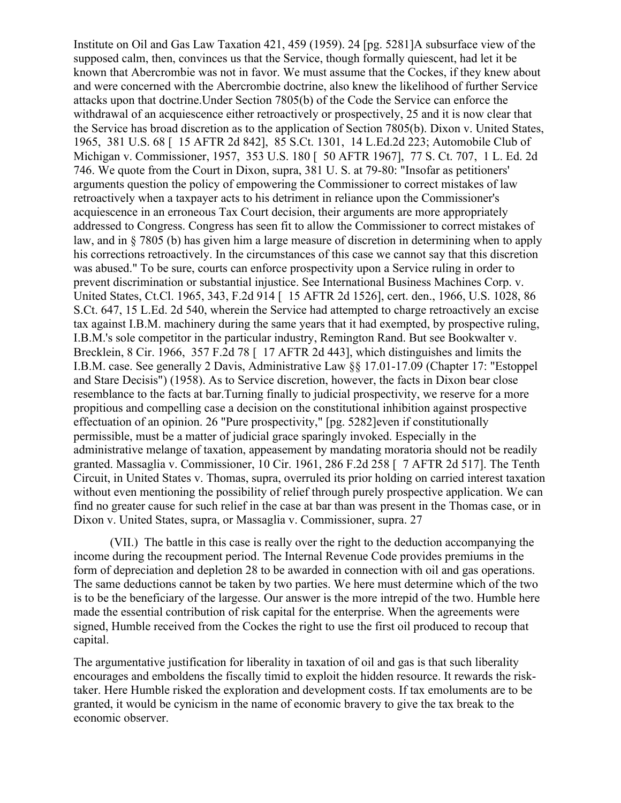Institute on Oil and Gas Law Taxation 421, 459 (1959). 24 [pg. 5281]A subsurface view of the supposed calm, then, convinces us that the Service, though formally quiescent, had let it be known that Abercrombie was not in favor. We must assume that the Cockes, if they knew about and were concerned with the Abercrombie doctrine, also knew the likelihood of further Service attacks upon that doctrine.Under Section 7805(b) of the Code the Service can enforce the withdrawal of an acquiescence either retroactively or prospectively, 25 and it is now clear that the Service has broad discretion as to the application of Section 7805(b). Dixon v. United States, 1965, 381 U.S. 68 [ 15 AFTR 2d 842], 85 S.Ct. 1301, 14 L.Ed.2d 223; Automobile Club of Michigan v. Commissioner, 1957, 353 U.S. 180 [ 50 AFTR 1967], 77 S. Ct. 707, 1 L. Ed. 2d 746. We quote from the Court in Dixon, supra, 381 U. S. at 79-80: "Insofar as petitioners' arguments question the policy of empowering the Commissioner to correct mistakes of law retroactively when a taxpayer acts to his detriment in reliance upon the Commissioner's acquiescence in an erroneous Tax Court decision, their arguments are more appropriately addressed to Congress. Congress has seen fit to allow the Commissioner to correct mistakes of law, and in § 7805 (b) has given him a large measure of discretion in determining when to apply his corrections retroactively. In the circumstances of this case we cannot say that this discretion was abused." To be sure, courts can enforce prospectivity upon a Service ruling in order to prevent discrimination or substantial injustice. See International Business Machines Corp. v. United States, Ct.Cl. 1965, 343, F.2d 914 [ 15 AFTR 2d 1526], cert. den., 1966, U.S. 1028, 86 S.Ct. 647, 15 L.Ed. 2d 540, wherein the Service had attempted to charge retroactively an excise tax against I.B.M. machinery during the same years that it had exempted, by prospective ruling, I.B.M.'s sole competitor in the particular industry, Remington Rand. But see Bookwalter v. Brecklein, 8 Cir. 1966, 357 F.2d 78 [ 17 AFTR 2d 443], which distinguishes and limits the I.B.M. case. See generally 2 Davis, Administrative Law §§ 17.01-17.09 (Chapter 17: "Estoppel and Stare Decisis") (1958). As to Service discretion, however, the facts in Dixon bear close resemblance to the facts at bar.Turning finally to judicial prospectivity, we reserve for a more propitious and compelling case a decision on the constitutional inhibition against prospective effectuation of an opinion. 26 "Pure prospectivity," [pg. 5282]even if constitutionally permissible, must be a matter of judicial grace sparingly invoked. Especially in the administrative melange of taxation, appeasement by mandating moratoria should not be readily granted. Massaglia v. Commissioner, 10 Cir. 1961, 286 F.2d 258 [ 7 AFTR 2d 517]. The Tenth Circuit, in United States v. Thomas, supra, overruled its prior holding on carried interest taxation without even mentioning the possibility of relief through purely prospective application. We can find no greater cause for such relief in the case at bar than was present in the Thomas case, or in Dixon v. United States, supra, or Massaglia v. Commissioner, supra. 27

(VII.) The battle in this case is really over the right to the deduction accompanying the income during the recoupment period. The Internal Revenue Code provides premiums in the form of depreciation and depletion 28 to be awarded in connection with oil and gas operations. The same deductions cannot be taken by two parties. We here must determine which of the two is to be the beneficiary of the largesse. Our answer is the more intrepid of the two. Humble here made the essential contribution of risk capital for the enterprise. When the agreements were signed, Humble received from the Cockes the right to use the first oil produced to recoup that capital.

The argumentative justification for liberality in taxation of oil and gas is that such liberality encourages and emboldens the fiscally timid to exploit the hidden resource. It rewards the risktaker. Here Humble risked the exploration and development costs. If tax emoluments are to be granted, it would be cynicism in the name of economic bravery to give the tax break to the economic observer.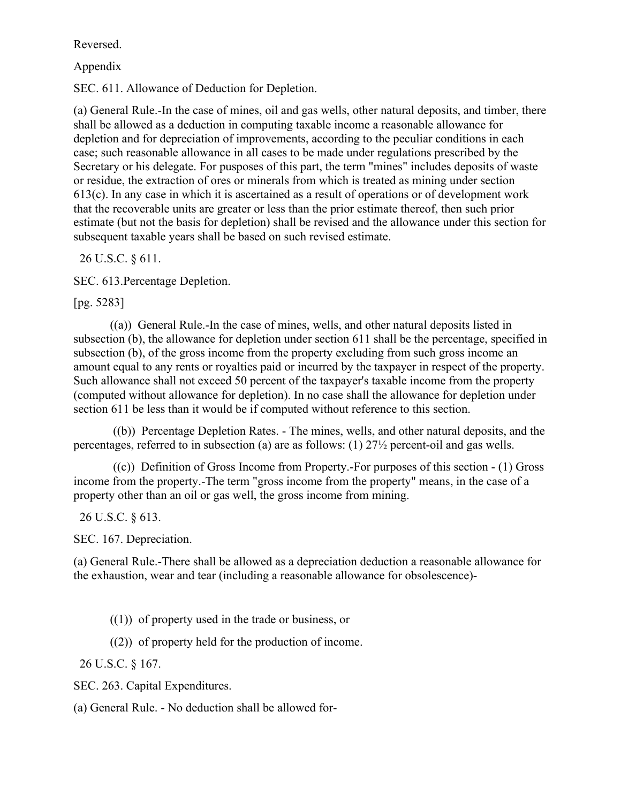Reversed.

Appendix

SEC. 611. Allowance of Deduction for Depletion.

(a) General Rule.-In the case of mines, oil and gas wells, other natural deposits, and timber, there shall be allowed as a deduction in computing taxable income a reasonable allowance for depletion and for depreciation of improvements, according to the peculiar conditions in each case; such reasonable allowance in all cases to be made under regulations prescribed by the Secretary or his delegate. For pusposes of this part, the term "mines" includes deposits of waste or residue, the extraction of ores or minerals from which is treated as mining under section 613(c). In any case in which it is ascertained as a result of operations or of development work that the recoverable units are greater or less than the prior estimate thereof, then such prior estimate (but not the basis for depletion) shall be revised and the allowance under this section for subsequent taxable years shall be based on such revised estimate.

26 U.S.C. § 611.

SEC. 613.Percentage Depletion.

[pg. 5283]

((a)) General Rule.-In the case of mines, wells, and other natural deposits listed in subsection (b), the allowance for depletion under section 611 shall be the percentage, specified in subsection (b), of the gross income from the property excluding from such gross income an amount equal to any rents or royalties paid or incurred by the taxpayer in respect of the property. Such allowance shall not exceed 50 percent of the taxpayer's taxable income from the property (computed without allowance for depletion). In no case shall the allowance for depletion under section 611 be less than it would be if computed without reference to this section.

((b)) Percentage Depletion Rates. - The mines, wells, and other natural deposits, and the percentages, referred to in subsection (a) are as follows: (1) 27½ percent-oil and gas wells.

 $((c))$  Definition of Gross Income from Property.-For purposes of this section  $-(1)$  Gross income from the property.-The term "gross income from the property" means, in the case of a property other than an oil or gas well, the gross income from mining.

26 U.S.C. § 613.

SEC. 167. Depreciation.

(a) General Rule.-There shall be allowed as a depreciation deduction a reasonable allowance for the exhaustion, wear and tear (including a reasonable allowance for obsolescence)-

 $(1)$ ) of property used in the trade or business, or

((2)) of property held for the production of income.

26 U.S.C. § 167.

SEC. 263. Capital Expenditures.

(a) General Rule. - No deduction shall be allowed for-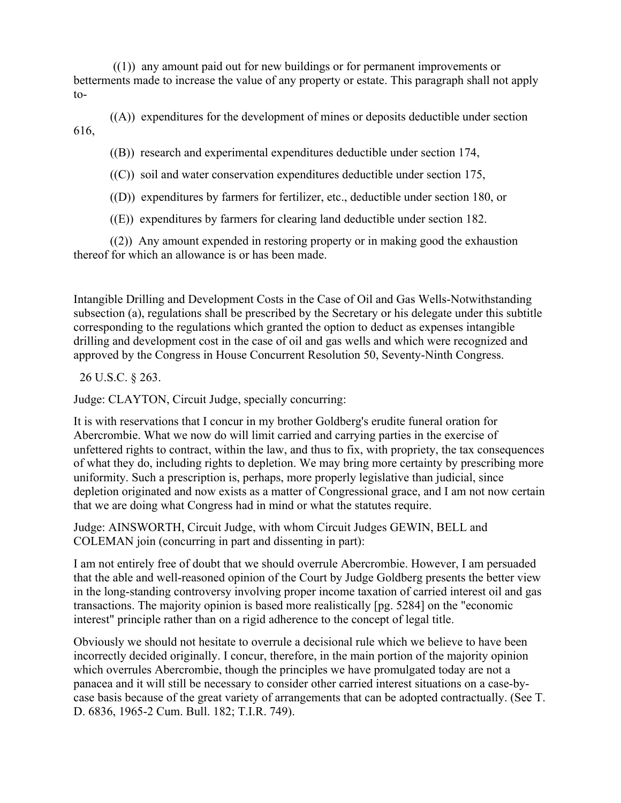((1)) any amount paid out for new buildings or for permanent improvements or betterments made to increase the value of any property or estate. This paragraph shall not apply to-

((A)) expenditures for the development of mines or deposits deductible under section 616,

((B)) research and experimental expenditures deductible under section 174,

 $((C))$  soil and water conservation expenditures deductible under section 175,

((D)) expenditures by farmers for fertilizer, etc., deductible under section 180, or

((E)) expenditures by farmers for clearing land deductible under section 182.

((2)) Any amount expended in restoring property or in making good the exhaustion thereof for which an allowance is or has been made.

Intangible Drilling and Development Costs in the Case of Oil and Gas Wells-Notwithstanding subsection (a), regulations shall be prescribed by the Secretary or his delegate under this subtitle corresponding to the regulations which granted the option to deduct as expenses intangible drilling and development cost in the case of oil and gas wells and which were recognized and approved by the Congress in House Concurrent Resolution 50, Seventy-Ninth Congress.

## 26 U.S.C. § 263.

Judge: CLAYTON, Circuit Judge, specially concurring:

It is with reservations that I concur in my brother Goldberg's erudite funeral oration for Abercrombie. What we now do will limit carried and carrying parties in the exercise of unfettered rights to contract, within the law, and thus to fix, with propriety, the tax consequences of what they do, including rights to depletion. We may bring more certainty by prescribing more uniformity. Such a prescription is, perhaps, more properly legislative than judicial, since depletion originated and now exists as a matter of Congressional grace, and I am not now certain that we are doing what Congress had in mind or what the statutes require.

Judge: AINSWORTH, Circuit Judge, with whom Circuit Judges GEWIN, BELL and COLEMAN join (concurring in part and dissenting in part):

I am not entirely free of doubt that we should overrule Abercrombie. However, I am persuaded that the able and well-reasoned opinion of the Court by Judge Goldberg presents the better view in the long-standing controversy involving proper income taxation of carried interest oil and gas transactions. The majority opinion is based more realistically [pg. 5284] on the "economic interest" principle rather than on a rigid adherence to the concept of legal title.

Obviously we should not hesitate to overrule a decisional rule which we believe to have been incorrectly decided originally. I concur, therefore, in the main portion of the majority opinion which overrules Abercrombie, though the principles we have promulgated today are not a panacea and it will still be necessary to consider other carried interest situations on a case-bycase basis because of the great variety of arrangements that can be adopted contractually. (See T. D. 6836, 1965-2 Cum. Bull. 182; T.I.R. 749).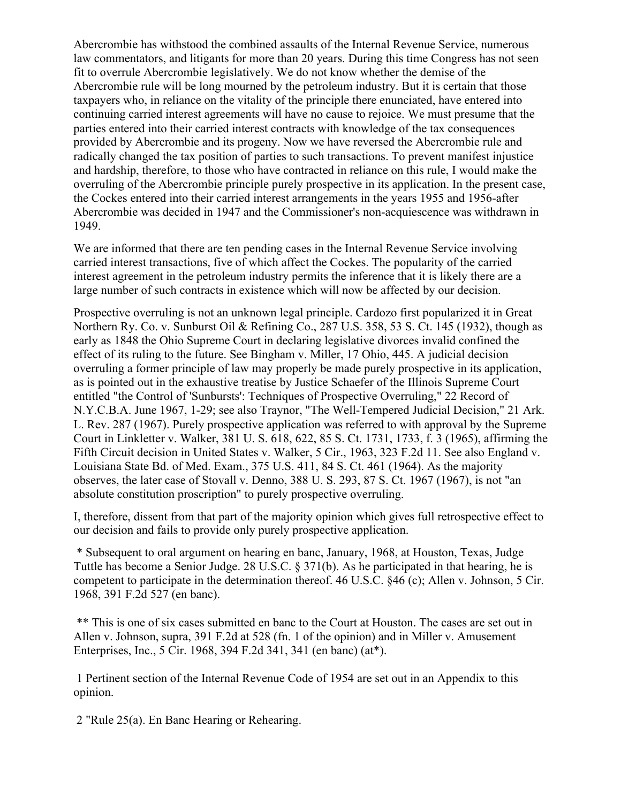Abercrombie has withstood the combined assaults of the Internal Revenue Service, numerous law commentators, and litigants for more than 20 years. During this time Congress has not seen fit to overrule Abercrombie legislatively. We do not know whether the demise of the Abercrombie rule will be long mourned by the petroleum industry. But it is certain that those taxpayers who, in reliance on the vitality of the principle there enunciated, have entered into continuing carried interest agreements will have no cause to rejoice. We must presume that the parties entered into their carried interest contracts with knowledge of the tax consequences provided by Abercrombie and its progeny. Now we have reversed the Abercrombie rule and radically changed the tax position of parties to such transactions. To prevent manifest injustice and hardship, therefore, to those who have contracted in reliance on this rule, I would make the overruling of the Abercrombie principle purely prospective in its application. In the present case, the Cockes entered into their carried interest arrangements in the years 1955 and 1956-after Abercrombie was decided in 1947 and the Commissioner's non-acquiescence was withdrawn in 1949.

We are informed that there are ten pending cases in the Internal Revenue Service involving carried interest transactions, five of which affect the Cockes. The popularity of the carried interest agreement in the petroleum industry permits the inference that it is likely there are a large number of such contracts in existence which will now be affected by our decision.

Prospective overruling is not an unknown legal principle. Cardozo first popularized it in Great Northern Ry. Co. v. Sunburst Oil & Refining Co., 287 U.S. 358, 53 S. Ct. 145 (1932), though as early as 1848 the Ohio Supreme Court in declaring legislative divorces invalid confined the effect of its ruling to the future. See Bingham v. Miller, 17 Ohio, 445. A judicial decision overruling a former principle of law may properly be made purely prospective in its application, as is pointed out in the exhaustive treatise by Justice Schaefer of the Illinois Supreme Court entitled "the Control of 'Sunbursts': Techniques of Prospective Overruling," 22 Record of N.Y.C.B.A. June 1967, 1-29; see also Traynor, "The Well-Tempered Judicial Decision," 21 Ark. L. Rev. 287 (1967). Purely prospective application was referred to with approval by the Supreme Court in Linkletter v. Walker, 381 U. S. 618, 622, 85 S. Ct. 1731, 1733, f. 3 (1965), affirming the Fifth Circuit decision in United States v. Walker, 5 Cir., 1963, 323 F.2d 11. See also England v. Louisiana State Bd. of Med. Exam., 375 U.S. 411, 84 S. Ct. 461 (1964). As the majority observes, the later case of Stovall v. Denno, 388 U. S. 293, 87 S. Ct. 1967 (1967), is not "an absolute constitution proscription" to purely prospective overruling.

I, therefore, dissent from that part of the majority opinion which gives full retrospective effect to our decision and fails to provide only purely prospective application.

\* Subsequent to oral argument on hearing en banc, January, 1968, at Houston, Texas, Judge Tuttle has become a Senior Judge. 28 U.S.C. § 371(b). As he participated in that hearing, he is competent to participate in the determination thereof. 46 U.S.C. §46 (c); Allen v. Johnson, 5 Cir. 1968, 391 F.2d 527 (en banc).

\*\* This is one of six cases submitted en banc to the Court at Houston. The cases are set out in Allen v. Johnson, supra, 391 F.2d at 528 (fn. 1 of the opinion) and in Miller v. Amusement Enterprises, Inc., 5 Cir. 1968, 394 F.2d 341, 341 (en banc) (at\*).

1 Pertinent section of the Internal Revenue Code of 1954 are set out in an Appendix to this opinion.

2 "Rule 25(a). En Banc Hearing or Rehearing.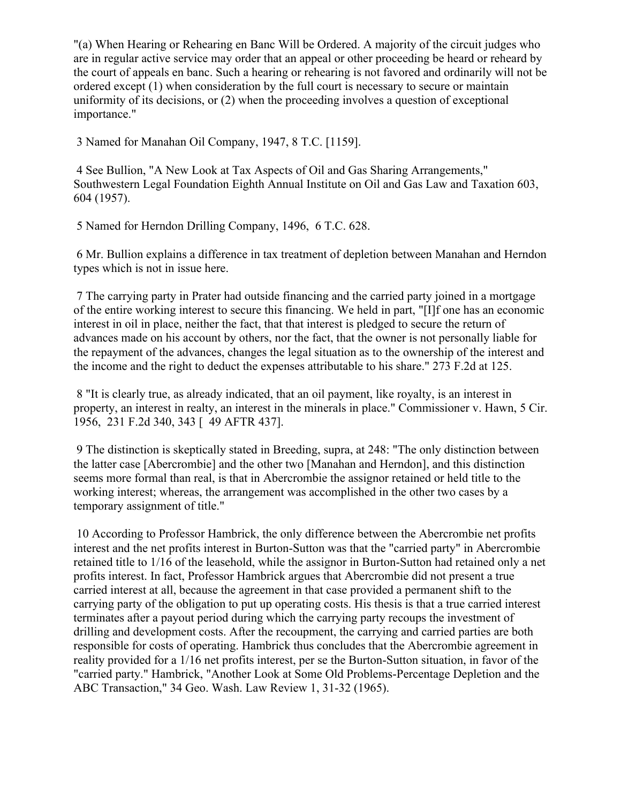"(a) When Hearing or Rehearing en Banc Will be Ordered. A majority of the circuit judges who are in regular active service may order that an appeal or other proceeding be heard or reheard by the court of appeals en banc. Such a hearing or rehearing is not favored and ordinarily will not be ordered except (1) when consideration by the full court is necessary to secure or maintain uniformity of its decisions, or (2) when the proceeding involves a question of exceptional importance."

3 Named for Manahan Oil Company, 1947, 8 T.C. [1159].

4 See Bullion, "A New Look at Tax Aspects of Oil and Gas Sharing Arrangements," Southwestern Legal Foundation Eighth Annual Institute on Oil and Gas Law and Taxation 603, 604 (1957).

5 Named for Herndon Drilling Company, 1496, 6 T.C. 628.

6 Mr. Bullion explains a difference in tax treatment of depletion between Manahan and Herndon types which is not in issue here.

7 The carrying party in Prater had outside financing and the carried party joined in a mortgage of the entire working interest to secure this financing. We held in part, "[I]f one has an economic interest in oil in place, neither the fact, that that interest is pledged to secure the return of advances made on his account by others, nor the fact, that the owner is not personally liable for the repayment of the advances, changes the legal situation as to the ownership of the interest and the income and the right to deduct the expenses attributable to his share." 273 F.2d at 125.

8 "It is clearly true, as already indicated, that an oil payment, like royalty, is an interest in property, an interest in realty, an interest in the minerals in place." Commissioner v. Hawn, 5 Cir. 1956, 231 F.2d 340, 343 [ 49 AFTR 437].

9 The distinction is skeptically stated in Breeding, supra, at 248: "The only distinction between the latter case [Abercrombie] and the other two [Manahan and Herndon], and this distinction seems more formal than real, is that in Abercrombie the assignor retained or held title to the working interest; whereas, the arrangement was accomplished in the other two cases by a temporary assignment of title."

10 According to Professor Hambrick, the only difference between the Abercrombie net profits interest and the net profits interest in Burton-Sutton was that the "carried party" in Abercrombie retained title to 1/16 of the leasehold, while the assignor in Burton-Sutton had retained only a net profits interest. In fact, Professor Hambrick argues that Abercrombie did not present a true carried interest at all, because the agreement in that case provided a permanent shift to the carrying party of the obligation to put up operating costs. His thesis is that a true carried interest terminates after a payout period during which the carrying party recoups the investment of drilling and development costs. After the recoupment, the carrying and carried parties are both responsible for costs of operating. Hambrick thus concludes that the Abercrombie agreement in reality provided for a 1/16 net profits interest, per se the Burton-Sutton situation, in favor of the "carried party." Hambrick, "Another Look at Some Old Problems-Percentage Depletion and the ABC Transaction," 34 Geo. Wash. Law Review 1, 31-32 (1965).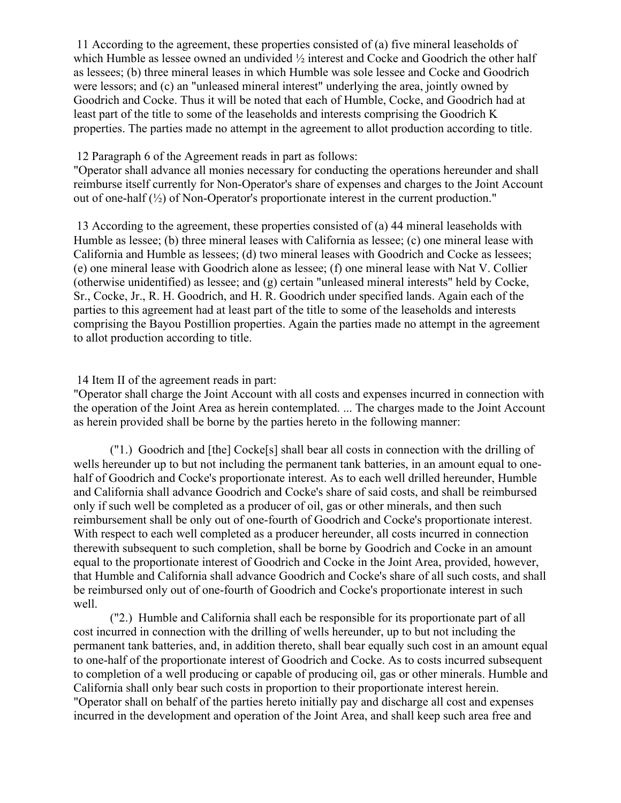11 According to the agreement, these properties consisted of (a) five mineral leaseholds of which Humble as lessee owned an undivided  $\frac{1}{2}$  interest and Cocke and Goodrich the other half as lessees; (b) three mineral leases in which Humble was sole lessee and Cocke and Goodrich were lessors; and (c) an "unleased mineral interest" underlying the area, jointly owned by Goodrich and Cocke. Thus it will be noted that each of Humble, Cocke, and Goodrich had at least part of the title to some of the leaseholds and interests comprising the Goodrich K properties. The parties made no attempt in the agreement to allot production according to title.

12 Paragraph 6 of the Agreement reads in part as follows:

"Operator shall advance all monies necessary for conducting the operations hereunder and shall reimburse itself currently for Non-Operator's share of expenses and charges to the Joint Account out of one-half  $\binom{1}{2}$  of Non-Operator's proportionate interest in the current production."

13 According to the agreement, these properties consisted of (a) 44 mineral leaseholds with Humble as lessee; (b) three mineral leases with California as lessee; (c) one mineral lease with California and Humble as lessees; (d) two mineral leases with Goodrich and Cocke as lessees; (e) one mineral lease with Goodrich alone as lessee; (f) one mineral lease with Nat V. Collier (otherwise unidentified) as lessee; and (g) certain "unleased mineral interests" held by Cocke, Sr., Cocke, Jr., R. H. Goodrich, and H. R. Goodrich under specified lands. Again each of the parties to this agreement had at least part of the title to some of the leaseholds and interests comprising the Bayou Postillion properties. Again the parties made no attempt in the agreement to allot production according to title.

14 Item II of the agreement reads in part:

"Operator shall charge the Joint Account with all costs and expenses incurred in connection with the operation of the Joint Area as herein contemplated. ... The charges made to the Joint Account as herein provided shall be borne by the parties hereto in the following manner:

("1.) Goodrich and [the] Cocke[s] shall bear all costs in connection with the drilling of wells hereunder up to but not including the permanent tank batteries, in an amount equal to onehalf of Goodrich and Cocke's proportionate interest. As to each well drilled hereunder, Humble and California shall advance Goodrich and Cocke's share of said costs, and shall be reimbursed only if such well be completed as a producer of oil, gas or other minerals, and then such reimbursement shall be only out of one-fourth of Goodrich and Cocke's proportionate interest. With respect to each well completed as a producer hereunder, all costs incurred in connection therewith subsequent to such completion, shall be borne by Goodrich and Cocke in an amount equal to the proportionate interest of Goodrich and Cocke in the Joint Area, provided, however, that Humble and California shall advance Goodrich and Cocke's share of all such costs, and shall be reimbursed only out of one-fourth of Goodrich and Cocke's proportionate interest in such well.

("2.) Humble and California shall each be responsible for its proportionate part of all cost incurred in connection with the drilling of wells hereunder, up to but not including the permanent tank batteries, and, in addition thereto, shall bear equally such cost in an amount equal to one-half of the proportionate interest of Goodrich and Cocke. As to costs incurred subsequent to completion of a well producing or capable of producing oil, gas or other minerals. Humble and California shall only bear such costs in proportion to their proportionate interest herein. "Operator shall on behalf of the parties hereto initially pay and discharge all cost and expenses incurred in the development and operation of the Joint Area, and shall keep such area free and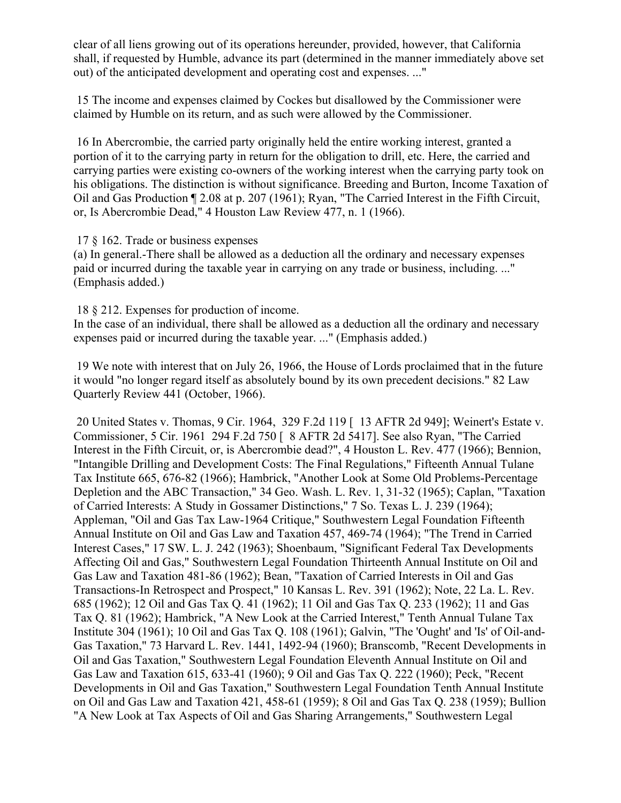clear of all liens growing out of its operations hereunder, provided, however, that California shall, if requested by Humble, advance its part (determined in the manner immediately above set out) of the anticipated development and operating cost and expenses. ..."

15 The income and expenses claimed by Cockes but disallowed by the Commissioner were claimed by Humble on its return, and as such were allowed by the Commissioner.

16 In Abercrombie, the carried party originally held the entire working interest, granted a portion of it to the carrying party in return for the obligation to drill, etc. Here, the carried and carrying parties were existing co-owners of the working interest when the carrying party took on his obligations. The distinction is without significance. Breeding and Burton, Income Taxation of Oil and Gas Production ¶ 2.08 at p. 207 (1961); Ryan, "The Carried Interest in the Fifth Circuit, or, Is Abercrombie Dead," 4 Houston Law Review 477, n. 1 (1966).

17 § 162. Trade or business expenses

(a) In general.-There shall be allowed as a deduction all the ordinary and necessary expenses paid or incurred during the taxable year in carrying on any trade or business, including. ..." (Emphasis added.)

18 § 212. Expenses for production of income.

In the case of an individual, there shall be allowed as a deduction all the ordinary and necessary expenses paid or incurred during the taxable year. ..." (Emphasis added.)

19 We note with interest that on July 26, 1966, the House of Lords proclaimed that in the future it would "no longer regard itself as absolutely bound by its own precedent decisions." 82 Law Quarterly Review 441 (October, 1966).

20 United States v. Thomas, 9 Cir. 1964, 329 F.2d 119 [ 13 AFTR 2d 949]; Weinert's Estate v. Commissioner, 5 Cir. 1961 294 F.2d 750 [ 8 AFTR 2d 5417]. See also Ryan, "The Carried Interest in the Fifth Circuit, or, is Abercrombie dead?", 4 Houston L. Rev. 477 (1966); Bennion, "Intangible Drilling and Development Costs: The Final Regulations," Fifteenth Annual Tulane Tax Institute 665, 676-82 (1966); Hambrick, "Another Look at Some Old Problems-Percentage Depletion and the ABC Transaction," 34 Geo. Wash. L. Rev. 1, 31-32 (1965); Caplan, "Taxation of Carried Interests: A Study in Gossamer Distinctions," 7 So. Texas L. J. 239 (1964); Appleman, "Oil and Gas Tax Law-1964 Critique," Southwestern Legal Foundation Fifteenth Annual Institute on Oil and Gas Law and Taxation 457, 469-74 (1964); "The Trend in Carried Interest Cases," 17 SW. L. J. 242 (1963); Shoenbaum, "Significant Federal Tax Developments Affecting Oil and Gas," Southwestern Legal Foundation Thirteenth Annual Institute on Oil and Gas Law and Taxation 481-86 (1962); Bean, "Taxation of Carried Interests in Oil and Gas Transactions-In Retrospect and Prospect," 10 Kansas L. Rev. 391 (1962); Note, 22 La. L. Rev. 685 (1962); 12 Oil and Gas Tax Q. 41 (1962); 11 Oil and Gas Tax Q. 233 (1962); 11 and Gas Tax Q. 81 (1962); Hambrick, "A New Look at the Carried Interest," Tenth Annual Tulane Tax Institute 304 (1961); 10 Oil and Gas Tax Q. 108 (1961); Galvin, "The 'Ought' and 'Is' of Oil-and-Gas Taxation," 73 Harvard L. Rev. 1441, 1492-94 (1960); Branscomb, "Recent Developments in Oil and Gas Taxation," Southwestern Legal Foundation Eleventh Annual Institute on Oil and Gas Law and Taxation 615, 633-41 (1960); 9 Oil and Gas Tax Q. 222 (1960); Peck, "Recent Developments in Oil and Gas Taxation," Southwestern Legal Foundation Tenth Annual Institute on Oil and Gas Law and Taxation 421, 458-61 (1959); 8 Oil and Gas Tax Q. 238 (1959); Bullion "A New Look at Tax Aspects of Oil and Gas Sharing Arrangements," Southwestern Legal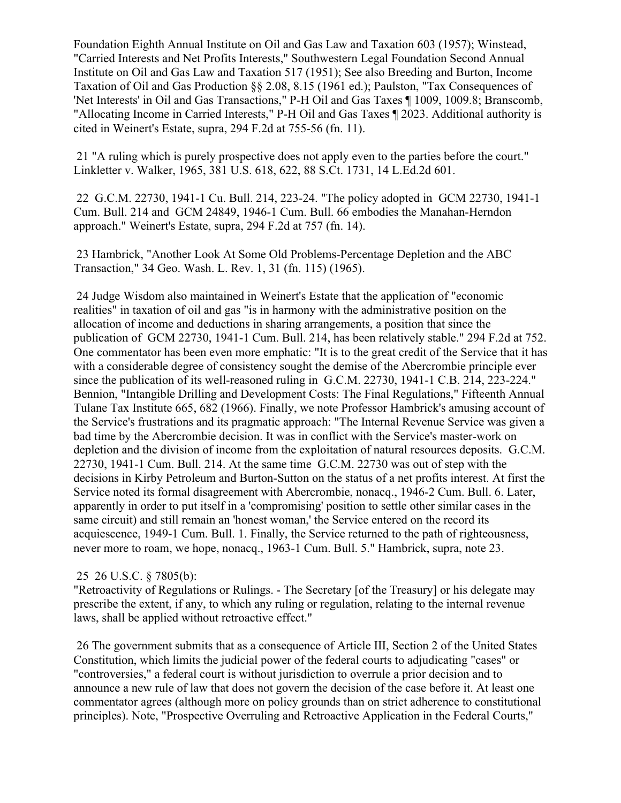Foundation Eighth Annual Institute on Oil and Gas Law and Taxation 603 (1957); Winstead, "Carried Interests and Net Profits Interests," Southwestern Legal Foundation Second Annual Institute on Oil and Gas Law and Taxation 517 (1951); See also Breeding and Burton, Income Taxation of Oil and Gas Production §§ 2.08, 8.15 (1961 ed.); Paulston, "Tax Consequences of 'Net Interests' in Oil and Gas Transactions," P-H Oil and Gas Taxes ¶ 1009, 1009.8; Branscomb, "Allocating Income in Carried Interests," P-H Oil and Gas Taxes ¶ 2023. Additional authority is cited in Weinert's Estate, supra, 294 F.2d at 755-56 (fn. 11).

21 "A ruling which is purely prospective does not apply even to the parties before the court." Linkletter v. Walker, 1965, 381 U.S. 618, 622, 88 S.Ct. 1731, 14 L.Ed.2d 601.

22 G.C.M. 22730, 1941-1 Cu. Bull. 214, 223-24. "The policy adopted in GCM 22730, 1941-1 Cum. Bull. 214 and GCM 24849, 1946-1 Cum. Bull. 66 embodies the Manahan-Herndon approach." Weinert's Estate, supra, 294 F.2d at 757 (fn. 14).

23 Hambrick, "Another Look At Some Old Problems-Percentage Depletion and the ABC Transaction," 34 Geo. Wash. L. Rev. 1, 31 (fn. 115) (1965).

24 Judge Wisdom also maintained in Weinert's Estate that the application of "economic realities" in taxation of oil and gas "is in harmony with the administrative position on the allocation of income and deductions in sharing arrangements, a position that since the publication of GCM 22730, 1941-1 Cum. Bull. 214, has been relatively stable." 294 F.2d at 752. One commentator has been even more emphatic: "It is to the great credit of the Service that it has with a considerable degree of consistency sought the demise of the Abercrombie principle ever since the publication of its well-reasoned ruling in G.C.M. 22730, 1941-1 C.B. 214, 223-224." Bennion, "Intangible Drilling and Development Costs: The Final Regulations," Fifteenth Annual Tulane Tax Institute 665, 682 (1966). Finally, we note Professor Hambrick's amusing account of the Service's frustrations and its pragmatic approach: "The Internal Revenue Service was given a bad time by the Abercrombie decision. It was in conflict with the Service's master-work on depletion and the division of income from the exploitation of natural resources deposits. G.C.M. 22730, 1941-1 Cum. Bull. 214. At the same time G.C.M. 22730 was out of step with the decisions in Kirby Petroleum and Burton-Sutton on the status of a net profits interest. At first the Service noted its formal disagreement with Abercrombie, nonacq., 1946-2 Cum. Bull. 6. Later, apparently in order to put itself in a 'compromising' position to settle other similar cases in the same circuit) and still remain an 'honest woman,' the Service entered on the record its acquiescence, 1949-1 Cum. Bull. 1. Finally, the Service returned to the path of righteousness, never more to roam, we hope, nonacq., 1963-1 Cum. Bull. 5." Hambrick, supra, note 23.

## 25 26 U.S.C. § 7805(b):

"Retroactivity of Regulations or Rulings. - The Secretary [of the Treasury] or his delegate may prescribe the extent, if any, to which any ruling or regulation, relating to the internal revenue laws, shall be applied without retroactive effect."

26 The government submits that as a consequence of Article III, Section 2 of the United States Constitution, which limits the judicial power of the federal courts to adjudicating "cases" or "controversies," a federal court is without jurisdiction to overrule a prior decision and to announce a new rule of law that does not govern the decision of the case before it. At least one commentator agrees (although more on policy grounds than on strict adherence to constitutional principles). Note, "Prospective Overruling and Retroactive Application in the Federal Courts,"